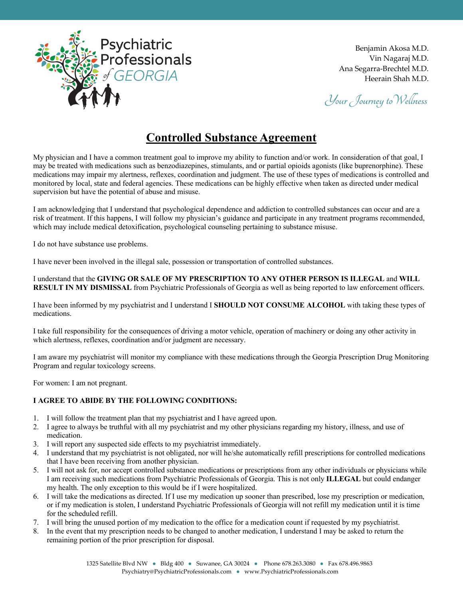

Benjamin Akosa M.D. Vin Nagaraj M.D. Ana Segarra-Brechtel M.D. Heerain Shah M.D.

Your Journey to Wellness

## **Controlled Substance Agreement**

My physician and I have a common treatment goal to improve my ability to function and/or work. In consideration of that goal, I may be treated with medications such as benzodiazepines, stimulants, and or partial opioids agonists (like buprenorphine). These medications may impair my alertness, reflexes, coordination and judgment. The use of these types of medications is controlled and monitored by local, state and federal agencies. These medications can be highly effective when taken as directed under medical supervision but have the potential of abuse and misuse.

I am acknowledging that I understand that psychological dependence and addiction to controlled substances can occur and are a risk of treatment. If this happens, I will follow my physician's guidance and participate in any treatment programs recommended, which may include medical detoxification, psychological counseling pertaining to substance misuse.

I do not have substance use problems.

I have never been involved in the illegal sale, possession or transportation of controlled substances.

I understand that the **GIVING OR SALE OF MY PRESCRIPTION TO ANY OTHER PERSON IS ILLEGAL** and **WILL RESULT IN MY DISMISSAL** from Psychiatric Professionals of Georgia as well as being reported to law enforcement officers.

I have been informed by my psychiatrist and I understand I **SHOULD NOT CONSUME ALCOHOL** with taking these types of medications.

I take full responsibility for the consequences of driving a motor vehicle, operation of machinery or doing any other activity in which alertness, reflexes, coordination and/or judgment are necessary.

I am aware my psychiatrist will monitor my compliance with these medications through the Georgia Prescription Drug Monitoring Program and regular toxicology screens.

For women: I am not pregnant.

## **I AGREE TO ABIDE BY THE FOLLOWING CONDITIONS:**

- 1. I will follow the treatment plan that my psychiatrist and I have agreed upon.
- 2. I agree to always be truthful with all my psychiatrist and my other physicians regarding my history, illness, and use of medication.
- 3. I will report any suspected side effects to my psychiatrist immediately.
- 4. I understand that my psychiatrist is not obligated, nor will he/she automatically refill prescriptions for controlled medications that I have been receiving from another physician.
- 5. I will not ask for, nor accept controlled substance medications or prescriptions from any other individuals or physicians while I am receiving such medications from Psychiatric Professionals of Georgia. This is not only **ILLEGAL** but could endanger my health. The only exception to this would be if I were hospitalized.
- 6. I will take the medications as directed. If I use my medication up sooner than prescribed, lose my prescription or medication, or if my medication is stolen, I understand Psychiatric Professionals of Georgia will not refill my medication until it is time for the scheduled refill.
- 7. I will bring the unused portion of my medication to the office for a medication count if requested by my psychiatrist.
- 8. In the event that my prescription needs to be changed to another medication, I understand I may be asked to return the remaining portion of the prior prescription for disposal.